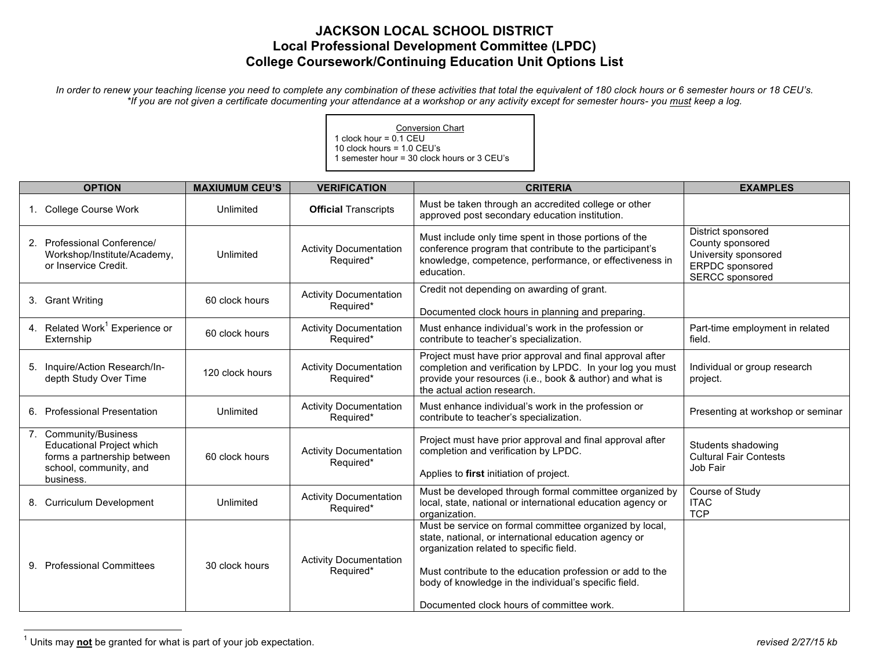## **JACKSON LOCAL SCHOOL DISTRICT Local Professional Development Committee (LPDC) College Coursework/Continuing Education Unit Options List**

*In order to renew your teaching license you need to complete any combination of these activities that total the equivalent of 180 clock hours or 6 semester hours or 18 CEU's. \*If you are not given a certificate documenting your attendance at a workshop or any activity except for semester hours- you must keep a log.*

> Conversion Chart 1 clock hour = 0.1 CEU 10 clock hours = 1.0 CEU's 1 semester hour = 30 clock hours or 3 CEU's

| <b>OPTION</b>                                                                                                                   | <b>MAXIUMUM CEU'S</b> | <b>VERIFICATION</b>                        | <b>CRITERIA</b>                                                                                                                                                                                                                                                                                                                | <b>EXAMPLES</b>                                                                                                    |
|---------------------------------------------------------------------------------------------------------------------------------|-----------------------|--------------------------------------------|--------------------------------------------------------------------------------------------------------------------------------------------------------------------------------------------------------------------------------------------------------------------------------------------------------------------------------|--------------------------------------------------------------------------------------------------------------------|
| 1. College Course Work                                                                                                          | Unlimited             | <b>Official Transcripts</b>                | Must be taken through an accredited college or other<br>approved post secondary education institution.                                                                                                                                                                                                                         |                                                                                                                    |
| 2. Professional Conference/<br>Workshop/Institute/Academy,<br>or Inservice Credit.                                              | Unlimited             | <b>Activity Documentation</b><br>Required* | Must include only time spent in those portions of the<br>conference program that contribute to the participant's<br>knowledge, competence, performance, or effectiveness in<br>education.                                                                                                                                      | District sponsored<br>County sponsored<br>University sponsored<br><b>ERPDC</b> sponsored<br><b>SERCC</b> sponsored |
| 3. Grant Writing                                                                                                                | 60 clock hours        | <b>Activity Documentation</b><br>Required* | Credit not depending on awarding of grant.<br>Documented clock hours in planning and preparing.                                                                                                                                                                                                                                |                                                                                                                    |
| 4. Related Work <sup>1</sup> Experience or<br>Externship                                                                        | 60 clock hours        | <b>Activity Documentation</b><br>Required* | Must enhance individual's work in the profession or<br>contribute to teacher's specialization.                                                                                                                                                                                                                                 | Part-time employment in related<br>field.                                                                          |
| 5. Inquire/Action Research/In-<br>depth Study Over Time                                                                         | 120 clock hours       | <b>Activity Documentation</b><br>Required* | Project must have prior approval and final approval after<br>completion and verification by LPDC. In your log you must<br>provide your resources (i.e., book & author) and what is<br>the actual action research.                                                                                                              | Individual or group research<br>project.                                                                           |
| 6. Professional Presentation                                                                                                    | Unlimited             | <b>Activity Documentation</b><br>Required* | Must enhance individual's work in the profession or<br>contribute to teacher's specialization.                                                                                                                                                                                                                                 | Presenting at workshop or seminar                                                                                  |
| 7. Community/Business<br><b>Educational Project which</b><br>forms a partnership between<br>school, community, and<br>business. | 60 clock hours        | <b>Activity Documentation</b><br>Required* | Project must have prior approval and final approval after<br>completion and verification by LPDC.<br>Applies to first initiation of project.                                                                                                                                                                                   | Students shadowing<br><b>Cultural Fair Contests</b><br>Job Fair                                                    |
| 8. Curriculum Development                                                                                                       | Unlimited             | <b>Activity Documentation</b><br>Required* | Must be developed through formal committee organized by<br>local, state, national or international education agency or<br>organization.                                                                                                                                                                                        | Course of Study<br><b>ITAC</b><br><b>TCP</b>                                                                       |
| 9. Professional Committees                                                                                                      | 30 clock hours        | <b>Activity Documentation</b><br>Required* | Must be service on formal committee organized by local,<br>state, national, or international education agency or<br>organization related to specific field.<br>Must contribute to the education profession or add to the<br>body of knowledge in the individual's specific field.<br>Documented clock hours of committee work. |                                                                                                                    |

 $\frac{1}{1}$ <sup>1</sup> Units may not be granted for what is part of your job expectation. *revised 2/27/15 kb revised 2/27/15 kb*